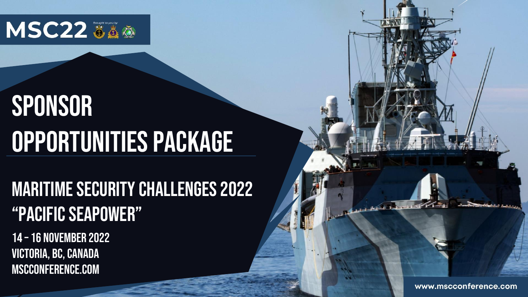

# **SPONSOR** Opportunities Package

# Maritime Security Challenges 2022 "Pacific Seapower"

14 – 16 NOVEMBER 2022 Victoria, BC, Canada mscconference.com

www.mscconference.com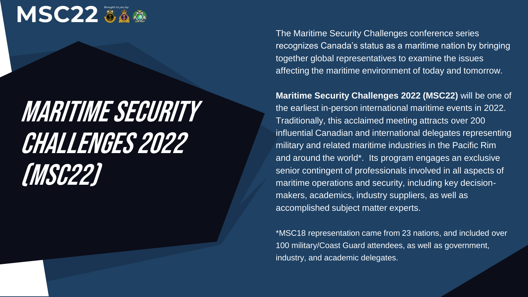

# Maritime Security Challenges 2022 (MSC22)

The Maritime Security Challenges conference series recognizes Canada's status as a maritime nation by bringing together global representatives to examine the issues affecting the maritime environment of today and tomorrow.

**Maritime Security Challenges 2022 (MSC22)** will be one of the earliest in-person international maritime events in 2022. Traditionally, this acclaimed meeting attracts over 200 influential Canadian and international delegates representing military and related maritime industries in the Pacific Rim and around the world\*. Its program engages an exclusive senior contingent of professionals involved in all aspects of maritime operations and security, including key decisionmakers, academics, industry suppliers, as well as accomplished subject matter experts.

\*MSC18 representation came from 23 nations, and included over 100 military/Coast Guard attendees, as well as government, industry, and academic delegates.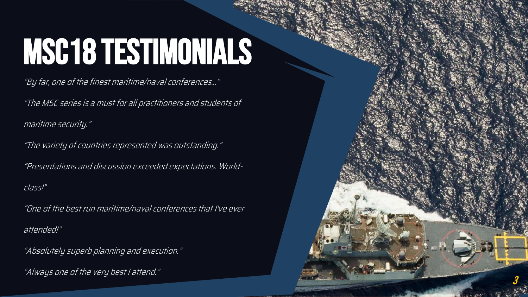### **ПЭ** MSC18 Testimonials

"By far, one of the finest maritime/naval conferences…"

"The MSC series is a must for all practitioners and students of

maritime security."

"The variety of countries represented was outstanding."

"Presentations and discussion exceeded expectations. World-

class!"

"One of the best run maritime/naval conferences that I've ever

3

attended!"

"Absolutely superb planning and execution."

"Always one of the very best I attend."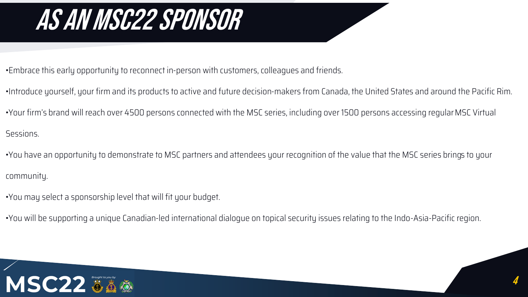# As an MSC22 sponsor

•Embrace this early opportunity to reconnect in-person with customers, colleagues and friends.

- •Introduce yourself, your firm and its products to active and future decision-makers from Canada, the United States and around the Pacific Rim.
- •Your firm's brand will reach over 4500 persons connected with the MSC series, including over 1500 persons accessing regular MSC Virtual

Sessions.

- •You have an opportunity to demonstrate to MSC partners and attendees your recognition of the value that the MSC series brings to your community.
- •You may select a sponsorship level that will fit your budget.
- •You will be supporting a unique Canadian-led international dialogue on topical security issues relating to the Indo-Asia-Pacific region.

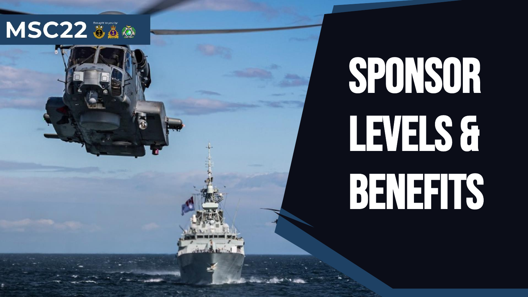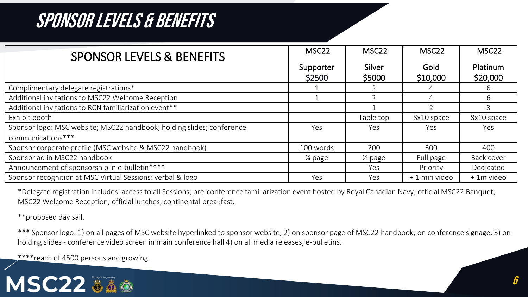| <b>SPONSOR LEVELS &amp; BENEFITS</b>                                  | MSC <sub>22</sub>   | MSC <sub>22</sub>  | MSC <sub>22</sub> | MSC <sub>22</sub>    |
|-----------------------------------------------------------------------|---------------------|--------------------|-------------------|----------------------|
|                                                                       | Supporter<br>\$2500 | Silver<br>\$5000   | Gold<br>\$10,000  | Platinum<br>\$20,000 |
| Complimentary delegate registrations*                                 |                     |                    |                   | b                    |
| Additional invitations to MSC22 Welcome Reception                     |                     |                    | 4                 | 6                    |
| Additional invitations to RCN familiarization event**                 |                     |                    |                   |                      |
| Exhibit booth                                                         |                     | Table top          | 8x10 space        | 8x10 space           |
| Sponsor logo: MSC website; MSC22 handbook; holding slides; conference | Yes                 | Yes                | Yes               | <b>Yes</b>           |
| communications***                                                     |                     |                    |                   |                      |
| Sponsor corporate profile (MSC website & MSC22 handbook)              | 100 words           | 200                | 300               | 400                  |
| Sponsor ad in MSC22 handbook                                          | ¼ page              | $\frac{1}{2}$ page | Full page         | Back cover           |
| Announcement of sponsorship in e-bulletin****                         |                     | Yes                | Priority          | Dedicated            |
| Sponsor recognition at MSC Virtual Sessions: verbal & logo            | Yes                 | Yes                | + 1 min video     | + 1m video           |

\*Delegate registration includes: access to all Sessions; pre-conference familiarization event hosted by Royal Canadian Navy; official MSC22 Banquet; MSC22 Welcome Reception; official lunches; continental breakfast.

\*\*proposed day sail.

\*\*\* Sponsor logo: 1) on all pages of MSC website hyperlinked to sponsor website; 2) on sponsor page of MSC22 handbook; on conference signage; 3) on holding slides - conference video screen in main conference hall 4) on all media releases, e-bulletins.

\*\*\*\*reach of 4500 persons and growing.

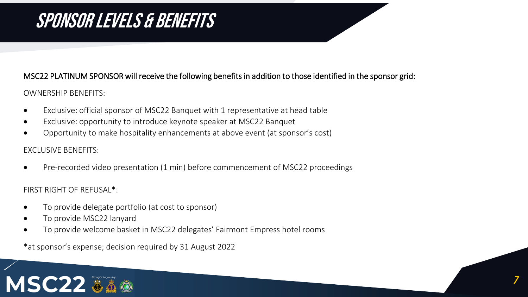#### MSC22 PLATINUM SPONSOR will receive the following benefits in addition to those identified in the sponsor grid:

7

#### OWNERSHIP BENEFITS:

- Exclusive: official sponsor of MSC22 Banquet with 1 representative at head table
- Exclusive: opportunity to introduce keynote speaker at MSC22 Banquet
- Opportunity to make hospitality enhancements at above event (at sponsor's cost)

#### EXCLUSIVE BENEFITS:

• Pre-recorded video presentation (1 min) before commencement of MSC22 proceedings

#### FIRST RIGHT OF REFUSAL\*:

- To provide delegate portfolio (at cost to sponsor)
- To provide MSC22 lanyard
- To provide welcome basket in MSC22 delegates' Fairmont Empress hotel rooms

\*at sponsor's expense; decision required by 31 August 2022

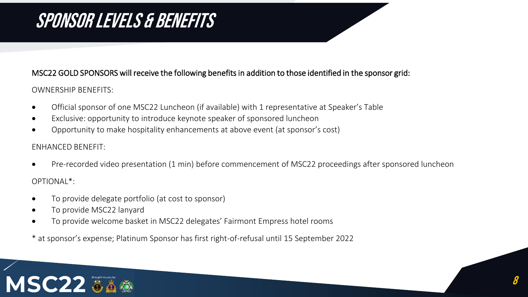#### MSC22 GOLD SPONSORS will receive the following benefits in addition to those identified in the sponsor grid:

#### OWNERSHIP BENEFITS:

- Official sponsor of one MSC22 Luncheon (if available) with 1 representative at Speaker's Table
- Exclusive: opportunity to introduce keynote speaker of sponsored luncheon
- Opportunity to make hospitality enhancements at above event (at sponsor's cost)

#### ENHANCED BENEFIT:

- Pre-recorded video presentation (1 min) before commencement of MSC22 proceedings after sponsored luncheon OPTIONAL\*:
- To provide delegate portfolio (at cost to sponsor)
- To provide MSC22 lanyard
- To provide welcome basket in MSC22 delegates' Fairmont Empress hotel rooms
- \* at sponsor's expense; Platinum Sponsor has first right-of-refusal until 15 September 2022

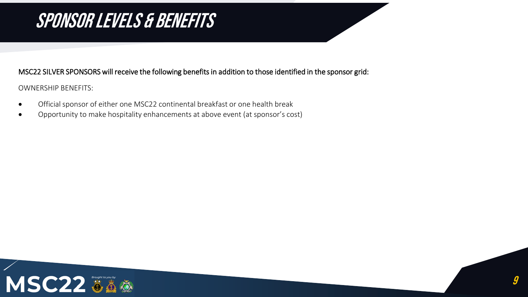#### MSC22 SILVER SPONSORS will receive the following benefits in addition to those identified in the sponsor grid:

OWNERSHIP BENEFITS:

- Official sponsor of either one MSC22 continental breakfast or one health break
- Opportunity to make hospitality enhancements at above event (at sponsor's cost)

![](_page_8_Picture_5.jpeg)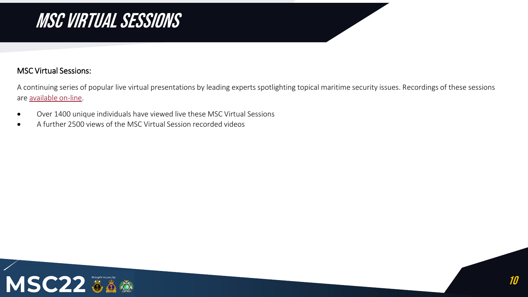## MSC VIRTUAL SESSIONS

#### MSC Virtual Sessions:

A continuing series of popular live virtual presentations by leading experts spotlighting topical maritime security issues. Recordings of these sessions are [available on-line.](https://mscconference.com/msc-virtual-sessions/)

- Over 1400 unique individuals have viewed live these MSC Virtual Sessions
- A further 2500 views of the MSC Virtual Session recorded videos

![](_page_9_Picture_5.jpeg)